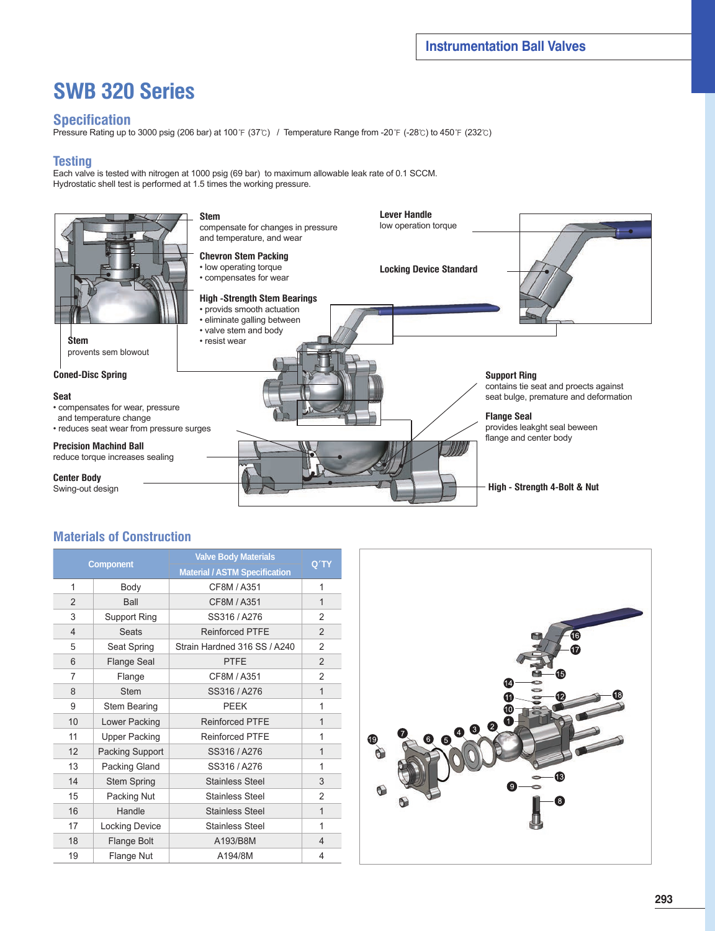# **SWB 320 Series**

#### **Specification**

Pressure Rating up to 3000 psig (206 bar) at 100℉ (37℃) / Temperature Range from -20℉ (-28℃) to 450℉ (232℃)

#### **Testing**

Each valve is tested with nitrogen at 1000 psig (69 bar) to maximum allowable leak rate of 0.1 SCCM. Hydrostatic shell test is performed at 1.5 times the working pressure.



### **Materials of Construction**

| <b>Component</b>        |                       | <b>Valve Body Materials</b>                         | Q'TY           |
|-------------------------|-----------------------|-----------------------------------------------------|----------------|
|                         |                       | <b>Material / ASTM Specification</b><br>CF8M / A351 |                |
| 1                       | Body                  | $\mathbf{1}$                                        |                |
| $\overline{2}$          | Ball                  | CF8M / A351                                         | $\mathbf{1}$   |
| 3                       | Support Ring          | SS316 / A276                                        | 2              |
| $\overline{\mathbf{4}}$ | <b>Seats</b>          | <b>Reinforced PTFE</b>                              | 2              |
| 5                       | Seat Spring           | Strain Hardned 316 SS / A240                        | $\overline{2}$ |
| 6                       | Flange Seal           | <b>PTFE</b>                                         | $\overline{2}$ |
| 7                       | Flange                | CF8M / A351                                         | $\overline{2}$ |
| 8                       | <b>Stem</b>           | SS316 / A276                                        | $\mathbf{1}$   |
| 9                       | <b>Stem Bearing</b>   | <b>PEEK</b>                                         | 1              |
| 10                      | Lower Packing         | <b>Reinforced PTFE</b>                              | $\overline{1}$ |
| 11                      | <b>Upper Packing</b>  | <b>Reinforced PTFE</b>                              | 1              |
| 12                      | Packing Support       | SS316 / A276                                        | 1              |
| 13                      | Packing Gland         | SS316 / A276                                        | 1              |
| 14                      | <b>Stem Spring</b>    | <b>Stainless Steel</b>                              | 3              |
| 15                      | Packing Nut           | Stainless Steel                                     | 2              |
| 16                      | Handle                | <b>Stainless Steel</b>                              | 1              |
| 17                      | <b>Locking Device</b> | Stainless Steel                                     | 1              |
| 18                      | Flange Bolt           | A193/B8M                                            | 4              |
| 19                      | Flange Nut            | A194/8M                                             | 4              |

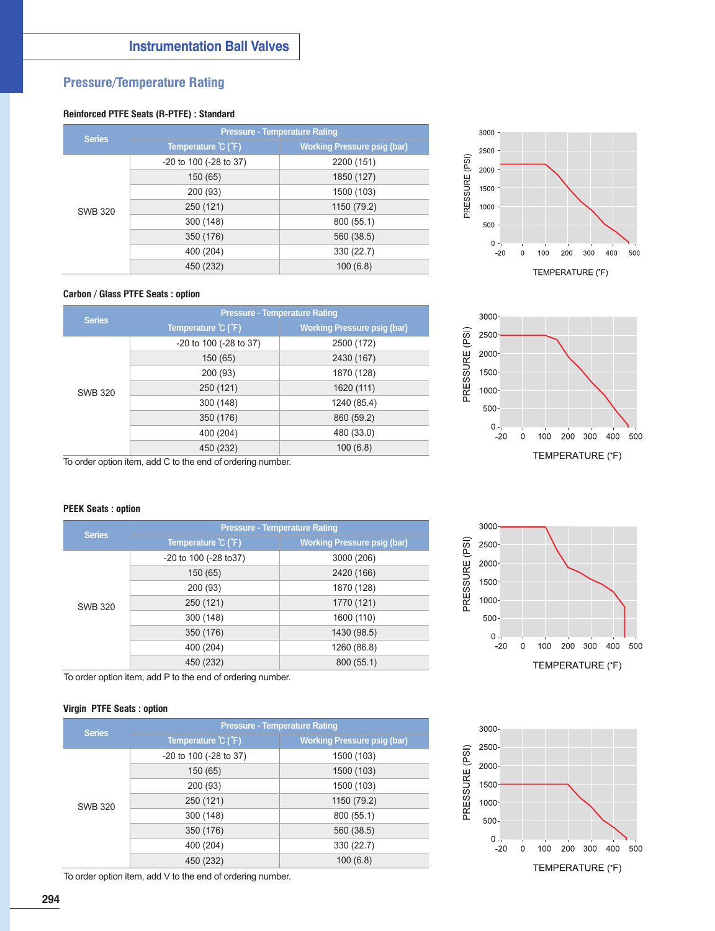## **Pressure/Temperature Rating**

#### **Reinforced PTFE Seats (R-PTFE) : Standard**

| <b>Series</b>  | <b>Pressure - Temperature Rating</b>       |                                    |  |  |  |  |  |  |
|----------------|--------------------------------------------|------------------------------------|--|--|--|--|--|--|
|                | Temperature $\mathcal{C}$ ( $\mathsf{F}$ ) | <b>Working Pressure psig (bar)</b> |  |  |  |  |  |  |
|                | -20 to 100 (-28 to 37)                     | 2200 (151)                         |  |  |  |  |  |  |
|                | 150 (65)                                   | 1850 (127)                         |  |  |  |  |  |  |
|                | 200 (93)                                   | 1500 (103)                         |  |  |  |  |  |  |
| <b>SWB 320</b> | 250 (121)                                  | 1150 (79.2)                        |  |  |  |  |  |  |
|                | 300 (148)                                  | 800 (55.1)                         |  |  |  |  |  |  |
|                | 350 (176)                                  | 560 (38.5)                         |  |  |  |  |  |  |
|                | 400 (204)                                  | 330 (22.7)                         |  |  |  |  |  |  |
|                | 450 (232)                                  | 100(6.8)                           |  |  |  |  |  |  |



#### **Carbon / Glass PTFE Seats : option**

| <b>Series</b>  | <b>Pressure - Temperature Rating</b> |                                    |  |  |  |  |  |  |
|----------------|--------------------------------------|------------------------------------|--|--|--|--|--|--|
|                | Temperature °C (°F)                  | <b>Working Pressure psig (bar)</b> |  |  |  |  |  |  |
|                | $-20$ to 100 ( $-28$ to 37)          | 2500 (172)                         |  |  |  |  |  |  |
|                | 150 (65)                             | 2430 (167)                         |  |  |  |  |  |  |
|                | 200 (93)                             | 1870 (128)                         |  |  |  |  |  |  |
| <b>SWB 320</b> | 250 (121)                            | 1620 (111)                         |  |  |  |  |  |  |
|                | 300 (148)                            | 1240 (85.4)                        |  |  |  |  |  |  |
|                | 350 (176)                            | 860 (59.2)                         |  |  |  |  |  |  |
|                | 400 (204)                            | 480 (33.0)                         |  |  |  |  |  |  |
|                | 450 (232)                            | 100(6.8)                           |  |  |  |  |  |  |



To order option item, add C to the end of ordering number.

#### **PEEK Seats : option**

| <b>Series</b>  | <b>Pressure - Temperature Rating</b>   |                                    |  |  |  |  |  |  |
|----------------|----------------------------------------|------------------------------------|--|--|--|--|--|--|
|                | Temperature $\degree$ C ( $\degree$ F) | <b>Working Pressure psig (bar)</b> |  |  |  |  |  |  |
|                | -20 to 100 (-28 to 37)                 | 3000 (206)                         |  |  |  |  |  |  |
|                | 150 (65)                               | 2420 (166)                         |  |  |  |  |  |  |
|                | 200 (93)                               | 1870 (128)                         |  |  |  |  |  |  |
| <b>SWB 320</b> | 250 (121)                              | 1770 (121)                         |  |  |  |  |  |  |
|                | 300 (148)                              | 1600 (110)                         |  |  |  |  |  |  |
|                | 350 (176)                              | 1430 (98.5)                        |  |  |  |  |  |  |
|                | 400 (204)                              | 1260 (86.8)                        |  |  |  |  |  |  |
|                | 450 (232)                              | 800 (55.1)                         |  |  |  |  |  |  |

To order option item, add P to the end of ordering number.

#### **Virgin PTFE Seats : option**

| <b>Series</b>  | <b>Pressure - Temperature Rating</b>        |                                    |  |  |  |  |  |  |
|----------------|---------------------------------------------|------------------------------------|--|--|--|--|--|--|
|                | Temperature $\mathcal{C}$ ( $\mathcal{F}$ ) | <b>Working Pressure psig (bar)</b> |  |  |  |  |  |  |
|                | -20 to 100 (-28 to 37)                      | 1500 (103)                         |  |  |  |  |  |  |
|                | 150 (65)                                    | 1500 (103)                         |  |  |  |  |  |  |
|                | 200 (93)                                    | 1500 (103)                         |  |  |  |  |  |  |
| <b>SWB 320</b> | 250 (121)                                   | 1150 (79.2)                        |  |  |  |  |  |  |
|                | 300 (148)                                   | 800 (55.1)                         |  |  |  |  |  |  |
|                | 350 (176)                                   | 560 (38.5)                         |  |  |  |  |  |  |
|                | 400 (204)                                   | 330 (22.7)                         |  |  |  |  |  |  |
|                | 450 (232)                                   | 100(6.8)                           |  |  |  |  |  |  |

To order option item, add V to the end of ordering number.



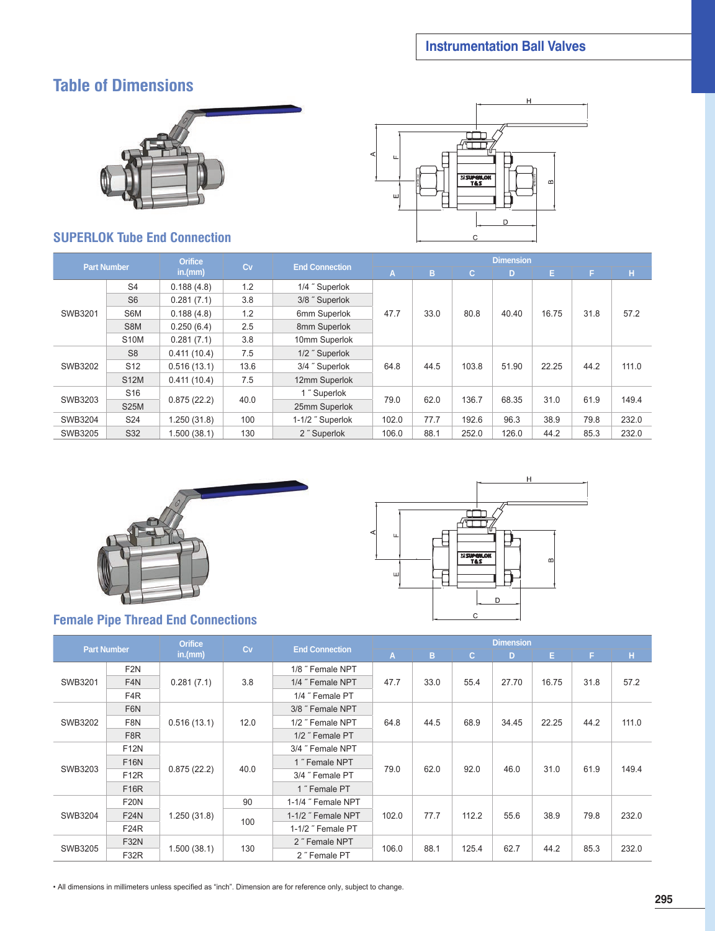## **Table of Dimensions**



## **SUPERLOK Tube End Connection**



| <b>Part Number</b> |                 | <b>Orifice</b> | Cv   | <b>End Connection</b> | <b>Dimension</b> |      |       |       |       |      |       |
|--------------------|-----------------|----------------|------|-----------------------|------------------|------|-------|-------|-------|------|-------|
|                    |                 | in.(mm)        |      |                       | A                | B    | C.    | D     | E.    | F    | н     |
|                    | S <sub>4</sub>  | 0.188(4.8)     | 1.2  | 1/4" Superlok         |                  |      |       |       |       |      |       |
|                    | S <sub>6</sub>  | 0.281(7.1)     | 3.8  | 3/8" Superlok         |                  |      |       |       |       |      |       |
| SWB3201            | S6M             | 0.188(4.8)     | 1.2  | 6mm Superlok          | 47.7             | 33.0 | 80.8  | 40.40 | 16.75 | 31.8 | 57.2  |
|                    | S8M             | 0.250(6.4)     | 2.5  | 8mm Superlok          |                  |      |       |       |       |      |       |
|                    | <b>S10M</b>     | 0.281(7.1)     | 3.8  | 10mm Superlok         |                  |      |       |       |       |      |       |
|                    | S <sub>8</sub>  | 0.411(10.4)    | 7.5  | 1/2" Superlok         |                  |      |       | 51.90 | 22.25 | 44.2 |       |
| SWB3202            | S <sub>12</sub> | 0.516(13.1)    | 13.6 | 3/4" Superlok         | 64.8             | 44.5 | 103.8 |       |       |      | 111.0 |
|                    | <b>S12M</b>     | 0.411(10.4)    | 7.5  | 12mm Superlok         |                  |      |       |       |       |      |       |
|                    | S <sub>16</sub> |                |      | 1" Superlok           |                  |      |       |       | 31.0  | 61.9 |       |
| SWB3203            | <b>S25M</b>     | 0.875(22.2)    | 40.0 | 25mm Superlok         | 79.0             | 62.0 | 136.7 | 68.35 |       |      | 149.4 |
| SWB3204            | S24             | 1.250(31.8)    | 100  | 1-1/2" Superlok       | 102.0            | 77.7 | 192.6 | 96.3  | 38.9  | 79.8 | 232.0 |
| SWB3205            | S32             | 1.500(38.1)    | 130  | 2" Superlok           | 106.0            | 88.1 | 252.0 | 126.0 | 44.2  | 85.3 | 232.0 |



## **Female Pipe Thread End Connections**

|             | H                                 |  |
|-------------|-----------------------------------|--|
| ◁<br>Щ<br>Ш | <b>ESUPERION</b><br>$\Omega$<br>D |  |
|             | C                                 |  |

| <b>Part Number</b> |                  | <b>Orifice</b> |      |                       | <b>Dimension</b> |      |              |       |       |      |       |  |  |
|--------------------|------------------|----------------|------|-----------------------|------------------|------|--------------|-------|-------|------|-------|--|--|
|                    |                  | in.(mm)        | Cv   | <b>End Connection</b> | A)               | B    | $\mathbf{C}$ | D     | E.    | F    | н     |  |  |
|                    | F <sub>2N</sub>  |                |      | 1/8" Female NPT       |                  |      |              |       |       |      |       |  |  |
| SWB3201            | F <sub>4</sub> N | 0.281(7.1)     | 3.8  | 1/4" Female NPT       | 47.7             | 33.0 | 55.4         | 27.70 | 16.75 | 31.8 | 57.2  |  |  |
|                    | F4R              |                |      | 1/4" Female PT        |                  |      |              |       |       |      |       |  |  |
| SWB3202            | F6N              |                |      | 3/8" Female NPT       |                  | 44.5 | 68.9         | 34.45 | 22.25 | 44.2 |       |  |  |
|                    | F <sub>8N</sub>  | 0.516(13.1)    | 12.0 | 1/2" Female NPT       | 64.8             |      |              |       |       |      | 111.0 |  |  |
|                    | F <sub>8</sub> R |                |      | 1/2" Female PT        |                  |      |              |       |       |      |       |  |  |
|                    | <b>F12N</b>      | 0.875(22.2)    | 40.0 | 3/4" Female NPT       | 79.0             | 62.0 |              | 46.0  | 31.0  |      |       |  |  |
|                    | <b>F16N</b>      |                |      | 1" Female NPT         |                  |      | 92.0         |       |       |      | 149.4 |  |  |
| SWB3203            | <b>F12R</b>      |                |      | 3/4" Female PT        |                  |      |              |       |       | 61.9 |       |  |  |
|                    | <b>F16R</b>      |                |      | 1" Female PT          |                  |      |              |       |       |      |       |  |  |
|                    | <b>F20N</b>      |                | 90   | 1-1/4 " Female NPT    |                  |      |              | 55.6  | 38.9  |      |       |  |  |
| SWB3204            | <b>F24N</b>      | 1.250(31.8)    |      | 1-1/2" Female NPT     | 102.0            | 77.7 | 112.2        |       |       | 79.8 | 232.0 |  |  |
|                    | <b>F24R</b>      |                | 100  | 1-1/2" Female PT      |                  |      |              |       |       |      |       |  |  |
|                    | F32N             |                |      | 2" Female NPT         |                  |      |              | 62.7  | 44.2  | 85.3 | 232.0 |  |  |
| SWB3205            | <b>F32R</b>      | 1.500(38.1)    | 130  | 2" Female PT          | 106.0            | 88.1 | 125.4        |       |       |      |       |  |  |

• All dimensions in millimeters unless specified as "inch". Dimension are for reference only, subject to change.